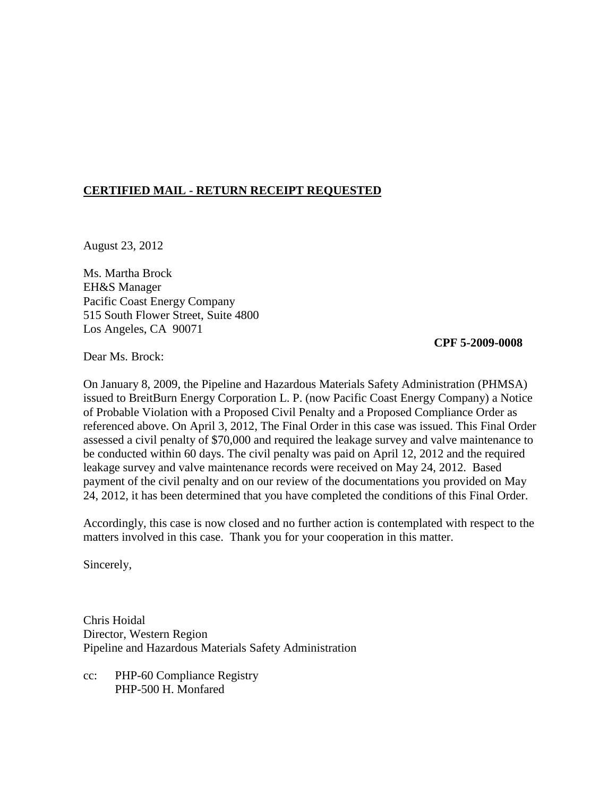## **CERTIFIED MAIL - RETURN RECEIPT REQUESTED**

August 23, 2012

Ms. Martha Brock EH&S Manager Pacific Coast Energy Company 515 South Flower Street, Suite 4800 Los Angeles, CA 90071

## **CPF 5-2009-0008**

Dear Ms. Brock:

On January 8, 2009, the Pipeline and Hazardous Materials Safety Administration (PHMSA) issued to BreitBurn Energy Corporation L. P. (now Pacific Coast Energy Company) a Notice of Probable Violation with a Proposed Civil Penalty and a Proposed Compliance Order as referenced above. On April 3, 2012, The Final Order in this case was issued. This Final Order assessed a civil penalty of \$70,000 and required the leakage survey and valve maintenance to be conducted within 60 days. The civil penalty was paid on April 12, 2012 and the required leakage survey and valve maintenance records were received on May 24, 2012. Based payment of the civil penalty and on our review of the documentations you provided on May 24, 2012, it has been determined that you have completed the conditions of this Final Order.

Accordingly, this case is now closed and no further action is contemplated with respect to the matters involved in this case. Thank you for your cooperation in this matter.

Sincerely,

Chris Hoidal Director, Western Region Pipeline and Hazardous Materials Safety Administration

cc: PHP-60 Compliance Registry PHP-500 H. Monfared